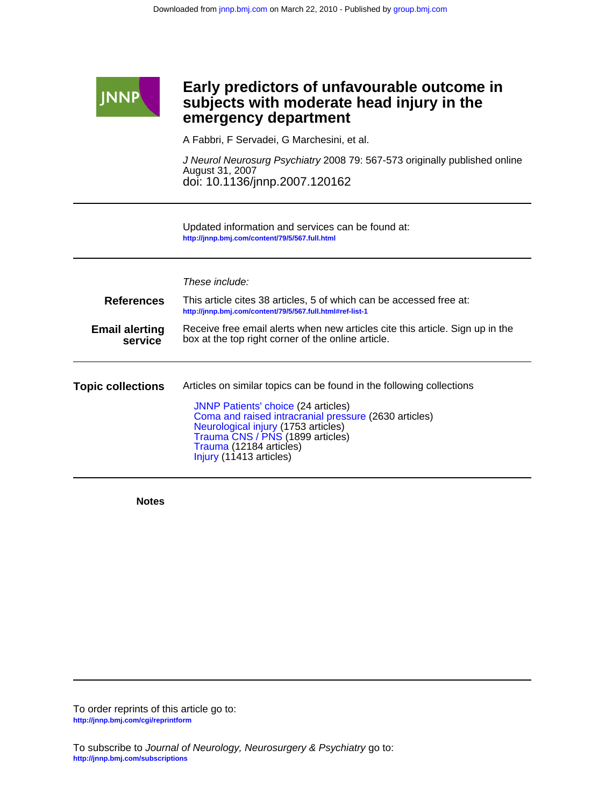

### **emergency department subjects with moderate head injury in the Early predictors of unfavourable outcome in**

A Fabbri, F Servadei, G Marchesini, et al.

doi: 10.1136/jnnp.2007.120162 August 31, 2007 J Neurol Neurosurg Psychiatry 2008 79: 567-573 originally published online

**<http://jnnp.bmj.com/content/79/5/567.full.html>** Updated information and services can be found at:

#### These include:

| <b>References</b><br><b>Email alerting</b> | This article cites 38 articles, 5 of which can be accessed free at:<br>http://jnnp.bmj.com/content/79/5/567.full.html#ref-list-1<br>Receive free email alerts when new articles cite this article. Sign up in the                                                                                            |  |  |  |
|--------------------------------------------|--------------------------------------------------------------------------------------------------------------------------------------------------------------------------------------------------------------------------------------------------------------------------------------------------------------|--|--|--|
| service                                    | box at the top right corner of the online article.                                                                                                                                                                                                                                                           |  |  |  |
| <b>Topic collections</b>                   | Articles on similar topics can be found in the following collections<br><b>JNNP Patients' choice (24 articles)</b><br>Coma and raised intracranial pressure (2630 articles)<br>Neurological injury (1753 articles)<br>Trauma CNS / PNS (1899 articles)<br>Trauma (12184 articles)<br>Injury (11413 articles) |  |  |  |

**Notes**

**<http://jnnp.bmj.com/cgi/reprintform>** To order reprints of this article go to: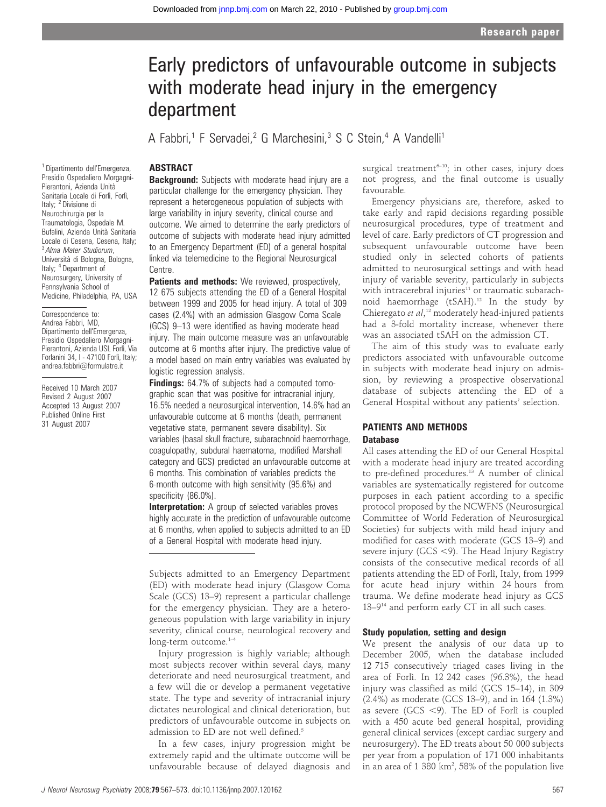# Early predictors of unfavourable outcome in subjects with moderate head injury in the emergency department

A Fabbri,<sup>1</sup> F Servadei,<sup>2</sup> G Marchesini,<sup>3</sup> S C Stein,<sup>4</sup> A Vandelli<sup>1</sup>

#### ABSTRACT

<sup>1</sup> Dipartimento dell'Emergenza, Presidio Ospedaliero Morgagni-Pierantoni, Azienda Unità Sanitaria Locale di Forlì, Forlì, Italy; <sup>2</sup> Divisione di Neurochirurgia per la Traumatologia, Ospedale M. Bufalini, Azienda Unità Sanitaria Locale di Cesena, Cesena, Italy; <sup>3</sup> Alma Mater Studiorum, Università di Bologna, Bologna, Italy; <sup>4</sup> Department of Neurosurgery, University of Pennsylvania School of Medicine, Philadelphia, PA, USA

Correspondence to: Andrea Fabbri, MD, Dipartimento dell'Emergenza, Presidio Ospedaliero Morgagni-Pierantoni, Azienda USL Forlì, Via Forlanini 34, I - 47100 Forlì, Italy; andrea.fabbri@formulatre.it

Received 10 March 2007 Revised 2 August 2007 Accepted 13 August 2007 Published Online First 31 August 2007

**Background:** Subjects with moderate head injury are a particular challenge for the emergency physician. They represent a heterogeneous population of subjects with large variability in injury severity, clinical course and outcome. We aimed to determine the early predictors of outcome of subjects with moderate head injury admitted to an Emergency Department (ED) of a general hospital linked via telemedicine to the Regional Neurosurgical Centre.

**Patients and methods:** We reviewed, prospectively, 12 675 subjects attending the ED of a General Hospital between 1999 and 2005 for head injury. A total of 309 cases (2.4%) with an admission Glasgow Coma Scale (GCS) 9–13 were identified as having moderate head injury. The main outcome measure was an unfavourable outcome at 6 months after injury. The predictive value of a model based on main entry variables was evaluated by logistic regression analysis.

Findings: 64.7% of subjects had a computed tomographic scan that was positive for intracranial injury, 16.5% needed a neurosurgical intervention, 14.6% had an unfavourable outcome at 6 months (death, permanent vegetative state, permanent severe disability). Six variables (basal skull fracture, subarachnoid haemorrhage, coagulopathy, subdural haematoma, modified Marshall category and GCS) predicted an unfavourable outcome at 6 months. This combination of variables predicts the 6-month outcome with high sensitivity (95.6%) and specificity (86.0%).

**Interpretation:** A group of selected variables proves highly accurate in the prediction of unfavourable outcome at 6 months, when applied to subjects admitted to an ED of a General Hospital with moderate head injury.

Subjects admitted to an Emergency Department (ED) with moderate head injury (Glasgow Coma Scale (GCS) 13–9) represent a particular challenge for the emergency physician. They are a heterogeneous population with large variability in injury severity, clinical course, neurological recovery and long-term outcome. $1-4$ 

Injury progression is highly variable; although most subjects recover within several days, many deteriorate and need neurosurgical treatment, and a few will die or develop a permanent vegetative state. The type and severity of intracranial injury dictates neurological and clinical deterioration, but predictors of unfavourable outcome in subjects on admission to ED are not well defined.<sup>5</sup>

In a few cases, injury progression might be extremely rapid and the ultimate outcome will be unfavourable because of delayed diagnosis and surgical treatment $6-10$ ; in other cases, injury does not progress, and the final outcome is usually favourable.

Emergency physicians are, therefore, asked to take early and rapid decisions regarding possible neurosurgical procedures, type of treatment and level of care. Early predictors of CT progression and subsequent unfavourable outcome have been studied only in selected cohorts of patients admitted to neurosurgical settings and with head injury of variable severity, particularly in subjects with intracerebral injuries<sup>11</sup> or traumatic subarachnoid haemorrhage (tSAH).<sup>12</sup> In the study by Chieregato et al,<sup>12</sup> moderately head-injured patients had a 3-fold mortality increase, whenever there was an associated tSAH on the admission CT.

The aim of this study was to evaluate early predictors associated with unfavourable outcome in subjects with moderate head injury on admission, by reviewing a prospective observational database of subjects attending the ED of a General Hospital without any patients' selection.

#### PATIENTS AND METHODS **Database**

All cases attending the ED of our General Hospital with a moderate head injury are treated according to pre-defined procedures.<sup>13</sup> A number of clinical variables are systematically registered for outcome purposes in each patient according to a specific protocol proposed by the NCWFNS (Neurosurgical Committee of World Federation of Neurosurgical Societies) for subjects with mild head injury and modified for cases with moderate (GCS 13–9) and severe injury (GCS  $\leq$ 9). The Head Injury Registry consists of the consecutive medical records of all patients attending the ED of Forlì, Italy, from 1999 for acute head injury within 24 hours from trauma. We define moderate head injury as GCS 13–914 and perform early CT in all such cases.

#### Study population, setting and design

We present the analysis of our data up to December 2005, when the database included 12 715 consecutively triaged cases living in the area of Forlì. In 12 242 cases  $(96.3\%)$ , the head injury was classified as mild (GCS 15–14), in 309 (2.4%) as moderate (GCS 13–9), and in 164 (1.3%) as severe (GCS  $\leq$ 9). The ED of Forli is coupled with a 450 acute bed general hospital, providing general clinical services (except cardiac surgery and neurosurgery). The ED treats about 50 000 subjects per year from a population of 171 000 inhabitants in an area of  $1\,380\;\mathrm{km^2}$ , 58% of the population live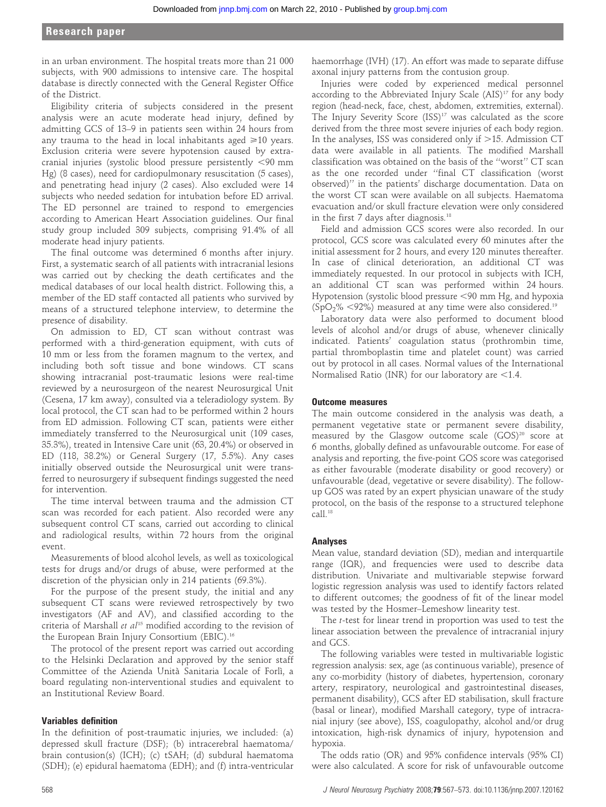#### Research paper

in an urban environment. The hospital treats more than 21 000 subjects, with 900 admissions to intensive care. The hospital database is directly connected with the General Register Office of the District.

Eligibility criteria of subjects considered in the present analysis were an acute moderate head injury, defined by admitting GCS of 13–9 in patients seen within 24 hours from any trauma to the head in local inhabitants aged  $\geq 10$  years. Exclusion criteria were severe hypotension caused by extracranial injuries (systolic blood pressure persistently  $\leq 90$  mm Hg) (8 cases), need for cardiopulmonary resuscitation (5 cases), and penetrating head injury (2 cases). Also excluded were 14 subjects who needed sedation for intubation before ED arrival. The ED personnel are trained to respond to emergencies according to American Heart Association guidelines. Our final study group included 309 subjects, comprising 91.4% of all moderate head injury patients.

The final outcome was determined 6 months after injury. First, a systematic search of all patients with intracranial lesions was carried out by checking the death certificates and the medical databases of our local health district. Following this, a member of the ED staff contacted all patients who survived by means of a structured telephone interview, to determine the presence of disability.

On admission to ED, CT scan without contrast was performed with a third-generation equipment, with cuts of 10 mm or less from the foramen magnum to the vertex, and including both soft tissue and bone windows. CT scans showing intracranial post-traumatic lesions were real-time reviewed by a neurosurgeon of the nearest Neurosurgical Unit (Cesena, 17 km away), consulted via a teleradiology system. By local protocol, the CT scan had to be performed within 2 hours from ED admission. Following CT scan, patients were either immediately transferred to the Neurosurgical unit (109 cases, 35.3%), treated in Intensive Care unit (63, 20.4%) or observed in ED (118, 38.2%) or General Surgery (17, 5.5%). Any cases initially observed outside the Neurosurgical unit were transferred to neurosurgery if subsequent findings suggested the need for intervention.

The time interval between trauma and the admission CT scan was recorded for each patient. Also recorded were any subsequent control CT scans, carried out according to clinical and radiological results, within 72 hours from the original event.

Measurements of blood alcohol levels, as well as toxicological tests for drugs and/or drugs of abuse, were performed at the discretion of the physician only in 214 patients (69.3%).

For the purpose of the present study, the initial and any subsequent CT scans were reviewed retrospectively by two investigators (AF and AV), and classified according to the criteria of Marshall et  $aI^{15}$  modified according to the revision of the European Brain Injury Consortium (EBIC).16

The protocol of the present report was carried out according to the Helsinki Declaration and approved by the senior staff Committee of the Azienda Unità Sanitaria Locale of Forlì, a board regulating non-interventional studies and equivalent to an Institutional Review Board.

#### Variables definition

In the definition of post-traumatic injuries, we included: (a) depressed skull fracture (DSF); (b) intracerebral haematoma/ brain contusion(s) (ICH); (c) tSAH; (d) subdural haematoma (SDH); (e) epidural haematoma (EDH); and (f) intra-ventricular

haemorrhage (IVH) (17). An effort was made to separate diffuse axonal injury patterns from the contusion group.

Injuries were coded by experienced medical personnel according to the Abbreviated Injury Scale  $(AIS)^{17}$  for any body region (head-neck, face, chest, abdomen, extremities, external). The Injury Severity Score  $(ISS)^{17}$  was calculated as the score derived from the three most severe injuries of each body region. In the analyses, ISS was considered only if  $>15$ . Admission CT data were available in all patients. The modified Marshall classification was obtained on the basis of the ''worst'' CT scan as the one recorded under ''final CT classification (worst observed)'' in the patients' discharge documentation. Data on the worst CT scan were available on all subjects. Haematoma evacuation and/or skull fracture elevation were only considered in the first 7 days after diagnosis.18

Field and admission GCS scores were also recorded. In our protocol, GCS score was calculated every 60 minutes after the initial assessment for 2 hours, and every 120 minutes thereafter. In case of clinical deterioration, an additional CT was immediately requested. In our protocol in subjects with ICH, an additional CT scan was performed within 24 hours. Hypotension (systolic blood pressure <90 mm Hg, and hypoxia (SpO<sub>2</sub>% <92%) measured at any time were also considered.<sup>19</sup>

Laboratory data were also performed to document blood levels of alcohol and/or drugs of abuse, whenever clinically indicated. Patients' coagulation status (prothrombin time, partial thromboplastin time and platelet count) was carried out by protocol in all cases. Normal values of the International Normalised Ratio (INR) for our laboratory are  $<$ 1.4.

#### Outcome measures

The main outcome considered in the analysis was death, a permanent vegetative state or permanent severe disability, measured by the Glasgow outcome scale  $(GOS)^{20}$  score at 6 months, globally defined as unfavourable outcome. For ease of analysis and reporting, the five-point GOS score was categorised as either favourable (moderate disability or good recovery) or unfavourable (dead, vegetative or severe disability). The followup GOS was rated by an expert physician unaware of the study protocol, on the basis of the response to a structured telephone call.18

#### Analyses

Mean value, standard deviation (SD), median and interquartile range (IQR), and frequencies were used to describe data distribution. Univariate and multivariable stepwise forward logistic regression analysis was used to identify factors related to different outcomes; the goodness of fit of the linear model was tested by the Hosmer–Lemeshow linearity test.

The t-test for linear trend in proportion was used to test the linear association between the prevalence of intracranial injury and GCS.

The following variables were tested in multivariable logistic regression analysis: sex, age (as continuous variable), presence of any co-morbidity (history of diabetes, hypertension, coronary artery, respiratory, neurological and gastrointestinal diseases, permanent disability), GCS after ED stabilisation, skull fracture (basal or linear), modified Marshall category, type of intracranial injury (see above), ISS, coagulopathy, alcohol and/or drug intoxication, high-risk dynamics of injury, hypotension and hypoxia.

The odds ratio (OR) and 95% confidence intervals (95% CI) were also calculated. A score for risk of unfavourable outcome

568 J Neurol Neurosurg Psychiatry 2008;79:567–573. doi:10.1136/jnnp.2007.120162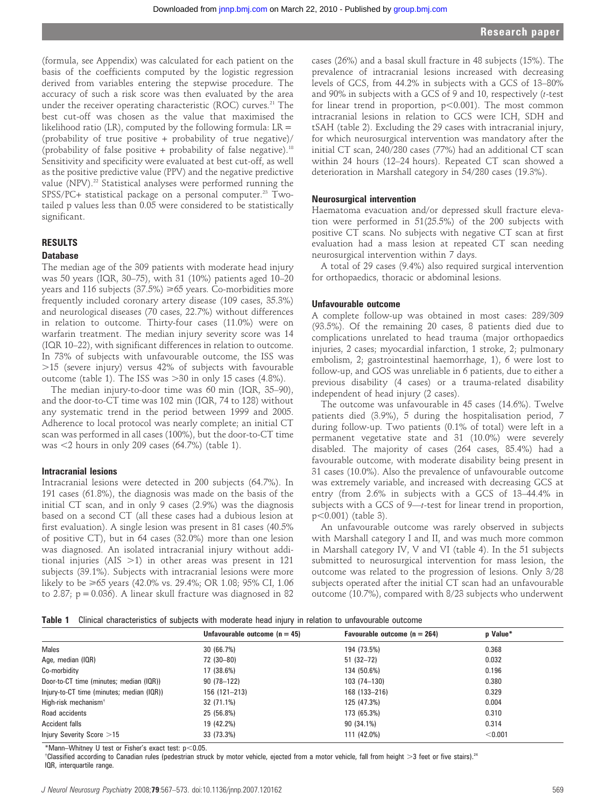(formula, see Appendix) was calculated for each patient on the basis of the coefficients computed by the logistic regression derived from variables entering the stepwise procedure. The accuracy of such a risk score was then evaluated by the area under the receiver operating characteristic (ROC) curves.<sup>21</sup> The best cut-off was chosen as the value that maximised the likelihood ratio (LR), computed by the following formula:  $LR =$ (probability of true positive + probability of true negative)/ (probability of false positive + probability of false negative).<sup>18</sup> Sensitivity and specificity were evaluated at best cut-off, as well as the positive predictive value (PPV) and the negative predictive value (NPV).<sup>22</sup> Statistical analyses were performed running the SPSS/PC+ statistical package on a personal computer.<sup>23</sup> Twotailed p values less than 0.05 were considered to be statistically significant.

#### RESULTS

#### **Database**

The median age of the 309 patients with moderate head injury was 50 years (IQR, 30–75), with 31 (10%) patients aged 10–20 years and 116 subjects (37.5%)  $\geq 65$  years. Co-morbidities more frequently included coronary artery disease (109 cases, 35.3%) and neurological diseases (70 cases, 22.7%) without differences in relation to outcome. Thirty-four cases (11.0%) were on warfarin treatment. The median injury severity score was 14 (IQR 10–22), with significant differences in relation to outcome. In 73% of subjects with unfavourable outcome, the ISS was  $>15$  (severe injury) versus 42% of subjects with favourable outcome (table 1). The ISS was  $>30$  in only 15 cases (4.8%).

The median injury-to-door time was 60 min (IQR, 35–90), and the door-to-CT time was 102 min (IQR, 74 to 128) without any systematic trend in the period between 1999 and 2005. Adherence to local protocol was nearly complete; an initial CT scan was performed in all cases (100%), but the door-to-CT time was  $<$ 2 hours in only 209 cases (64.7%) (table 1).

#### Intracranial lesions

Intracranial lesions were detected in 200 subjects (64.7%). In 191 cases (61.8%), the diagnosis was made on the basis of the initial CT scan, and in only 9 cases (2.9%) was the diagnosis based on a second CT (all these cases had a dubious lesion at first evaluation). A single lesion was present in 81 cases (40.5% of positive CT), but in 64 cases (32.0%) more than one lesion was diagnosed. An isolated intracranial injury without additional injuries (AIS  $>1$ ) in other areas was present in 121 subjects (39.1%). Subjects with intracranial lesions were more likely to be >65 years (42.0% vs. 29.4%; OR 1.08; 95% CI, 1.06 to 2.87;  $p = 0.036$ ). A linear skull fracture was diagnosed in 82

cases (26%) and a basal skull fracture in 48 subjects (15%). The prevalence of intracranial lesions increased with decreasing levels of GCS, from 44.2% in subjects with a GCS of 13–80% and 90% in subjects with a GCS of 9 and 10, respectively (t-test for linear trend in proportion,  $p<0.001$ ). The most common intracranial lesions in relation to GCS were ICH, SDH and tSAH (table 2). Excluding the 29 cases with intracranial injury, for which neurosurgical intervention was mandatory after the initial CT scan, 240/280 cases (77%) had an additional CT scan within 24 hours (12–24 hours). Repeated CT scan showed a deterioration in Marshall category in 54/280 cases (19.3%).

#### Neurosurgical intervention

Haematoma evacuation and/or depressed skull fracture elevation were performed in 51(25.5%) of the 200 subjects with positive CT scans. No subjects with negative CT scan at first evaluation had a mass lesion at repeated CT scan needing neurosurgical intervention within 7 days.

A total of 29 cases (9.4%) also required surgical intervention for orthopaedics, thoracic or abdominal lesions.

#### Unfavourable outcome

A complete follow-up was obtained in most cases: 289/309 (93.5%). Of the remaining 20 cases, 8 patients died due to complications unrelated to head trauma (major orthopaedics injuries, 2 cases; myocardial infarction, 1 stroke, 2; pulmonary embolism, 2; gastrointestinal haemorrhage, 1), 6 were lost to follow-up, and GOS was unreliable in 6 patients, due to either a previous disability (4 cases) or a trauma-related disability independent of head injury (2 cases).

The outcome was unfavourable in 45 cases (14.6%). Twelve patients died (3.9%), 5 during the hospitalisation period, 7 during follow-up. Two patients (0.1% of total) were left in a permanent vegetative state and 31 (10.0%) were severely disabled. The majority of cases (264 cases, 85.4%) had a favourable outcome, with moderate disability being present in 31 cases (10.0%). Also the prevalence of unfavourable outcome was extremely variable, and increased with decreasing GCS at entry (from 2.6% in subjects with a GCS of 13–44.4% in subjects with a GCS of 9—t-test for linear trend in proportion,  $p<0.001$ ) (table 3).

An unfavourable outcome was rarely observed in subjects with Marshall category I and II, and was much more common in Marshall category IV, V and VI (table 4). In the 51 subjects submitted to neurosurgical intervention for mass lesion, the outcome was related to the progression of lesions. Only 3/28 subjects operated after the initial CT scan had an unfavourable outcome (10.7%), compared with 8/23 subjects who underwent

Table 1 Clinical characteristics of subjects with moderate head injury in relation to unfavourable outcome

|                                           | Unfavourable outcome $(n = 45)$ | Favourable outcome $(n = 264)$ | p Value* |
|-------------------------------------------|---------------------------------|--------------------------------|----------|
| Males                                     | 30(66.7%)                       | 194 (73.5%)                    | 0.368    |
| Age, median (IQR)                         | 72 (30-80)                      | $51(32-72)$                    | 0.032    |
| Co-morbidity                              | 17 (38.6%)                      | 134 (50.6%)                    | 0.196    |
| Door-to-CT time (minutes; median (IQR))   | $90(78-122)$                    | $103(74 - 130)$                | 0.380    |
| Injury-to-CT time (minutes; median (IQR)) | 156 (121-213)                   | 168 (133-216)                  | 0.329    |
| High-risk mechanism <sup>+</sup>          | 32 (71.1%)                      | 125 (47.3%)                    | 0.004    |
| Road accidents                            | 25 (56.8%)                      | 173 (65.3%)                    | 0.310    |
| <b>Accident falls</b>                     | 19 (42.2%)                      | 90 (34.1%)                     | 0.314    |
| Injury Severity Score $>15$               | 33 (73.3%)                      | 111 (42.0%)                    | < 0.001  |

 $*$ Mann–Whitney U test or Fisher's exact test:  $p$ <0.05.

\*Classified according to Canadian rules (pedestrian struck by motor vehicle, ejected from a motor vehicle, fall from height >3 feet or five stairs).<sup>24</sup> IQR, interquartile range.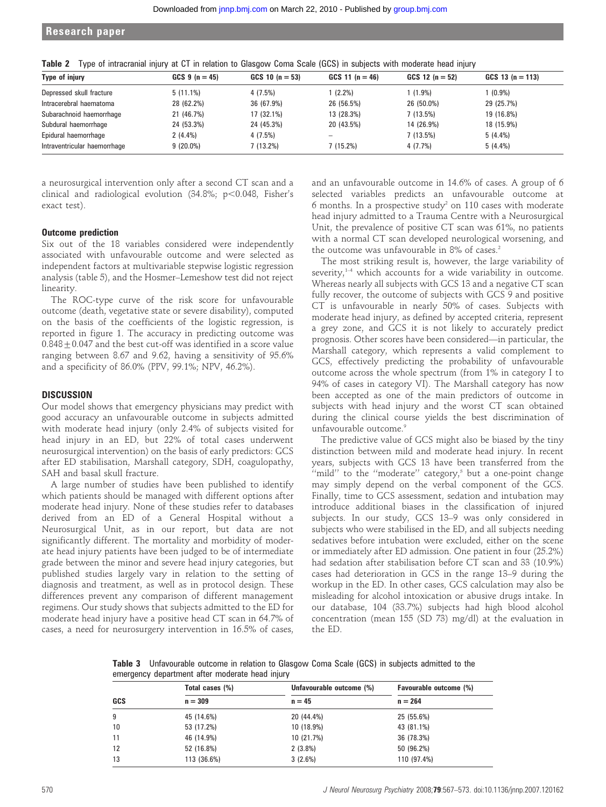Research paper

| <b>TWATE</b> Type of intractation infury at of in relation to diacyon commodous (doo) in cuspoted with moderate moderniquity |                  |                   |                          |                   |                    |
|------------------------------------------------------------------------------------------------------------------------------|------------------|-------------------|--------------------------|-------------------|--------------------|
| Type of injury                                                                                                               | $GCS 9 (n = 45)$ | $GCS 10 (n = 53)$ | $GCS 11 (n = 46)$        | $GCS$ 12 (n = 52) | $GCS$ 13 (n = 113) |
| Depressed skull fracture                                                                                                     | $5(11.1\%)$      | 4 (7.5%)          | 1 (2.2%)                 | 1 (1.9%)          | 1 (0.9%)           |
| Intracerebral haematoma                                                                                                      | 28 (62.2%)       | 36 (67.9%)        | 26 (56.5%)               | 26 (50.0%)        | 29 (25.7%)         |
| Subarachnoid haemorrhage                                                                                                     | 21 (46.7%)       | 17 (32.1%)        | 13 (28.3%)               | 7 (13.5%)         | 19 (16.8%)         |
| Subdural haemorrhage                                                                                                         | 24 (53.3%)       | 24 (45.3%)        | 20 (43.5%)               | 14 (26.9%)        | 18 (15.9%)         |
| Epidural haemorrhage                                                                                                         | $2(4.4\%)$       | 4(7.5%)           | $\overline{\phantom{a}}$ | 7 (13.5%)         | $5(4.4\%)$         |
| Intraventricular haemorrhage                                                                                                 | $9(20.0\%)$      | 7 (13.2%)         | 7 (15.2%)                | 4(7.7%)           | $5(4.4\%)$         |

|  |  |  |  | Table 2 Type of intracranial injury at CT in relation to Glasgow Coma Scale (GCS) in subjects with moderate head injury |  |
|--|--|--|--|-------------------------------------------------------------------------------------------------------------------------|--|
|--|--|--|--|-------------------------------------------------------------------------------------------------------------------------|--|

a neurosurgical intervention only after a second CT scan and a clinical and radiological evolution (34.8%;  $p<0.048$ , Fisher's exact test).

#### Outcome prediction

Six out of the 18 variables considered were independently associated with unfavourable outcome and were selected as independent factors at multivariable stepwise logistic regression analysis (table 5), and the Hosmer–Lemeshow test did not reject linearity.

The ROC-type curve of the risk score for unfavourable outcome (death, vegetative state or severe disability), computed on the basis of the coefficients of the logistic regression, is reported in figure 1. The accuracy in predicting outcome was  $0.848 \pm 0.047$  and the best cut-off was identified in a score value ranging between 8.67 and 9.62, having a sensitivity of 95.6% and a specificity of 86.0% (PPV, 99.1%; NPV, 46.2%).

#### **DISCUSSION**

Our model shows that emergency physicians may predict with good accuracy an unfavourable outcome in subjects admitted with moderate head injury (only 2.4% of subjects visited for head injury in an ED, but 22% of total cases underwent neurosurgical intervention) on the basis of early predictors: GCS after ED stabilisation, Marshall category, SDH, coagulopathy, SAH and basal skull fracture.

A large number of studies have been published to identify which patients should be managed with different options after moderate head injury. None of these studies refer to databases derived from an ED of a General Hospital without a Neurosurgical Unit, as in our report, but data are not significantly different. The mortality and morbidity of moderate head injury patients have been judged to be of intermediate grade between the minor and severe head injury categories, but published studies largely vary in relation to the setting of diagnosis and treatment, as well as in protocol design. These differences prevent any comparison of different management regimens. Our study shows that subjects admitted to the ED for moderate head injury have a positive head CT scan in 64.7% of cases, a need for neurosurgery intervention in 16.5% of cases,

and an unfavourable outcome in 14.6% of cases. A group of 6 selected variables predicts an unfavourable outcome at  $6$  months. In a prospective study<sup>2</sup> on 110 cases with moderate head injury admitted to a Trauma Centre with a Neurosurgical Unit, the prevalence of positive CT scan was 61%, no patients with a normal CT scan developed neurological worsening, and the outcome was unfavourable in 8% of cases.<sup>2</sup>

The most striking result is, however, the large variability of severity,<sup>1-4</sup> which accounts for a wide variability in outcome. Whereas nearly all subjects with GCS 13 and a negative CT scan fully recover, the outcome of subjects with GCS 9 and positive CT is unfavourable in nearly 50% of cases. Subjects with moderate head injury, as defined by accepted criteria, represent a grey zone, and GCS it is not likely to accurately predict prognosis. Other scores have been considered—in particular, the Marshall category, which represents a valid complement to GCS, effectively predicting the probability of unfavourable outcome across the whole spectrum (from 1% in category I to 94% of cases in category VI). The Marshall category has now been accepted as one of the main predictors of outcome in subjects with head injury and the worst CT scan obtained during the clinical course yields the best discrimination of unfavourable outcome.9

The predictive value of GCS might also be biased by the tiny distinction between mild and moderate head injury. In recent years, subjects with GCS 13 have been transferred from the "mild" to the "moderate" category, $5$  but a one-point change may simply depend on the verbal component of the GCS. Finally, time to GCS assessment, sedation and intubation may introduce additional biases in the classification of injured subjects. In our study, GCS 13–9 was only considered in subjects who were stabilised in the ED, and all subjects needing sedatives before intubation were excluded, either on the scene or immediately after ED admission. One patient in four (25.2%) had sedation after stabilisation before CT scan and 33 (10.9%) cases had deterioration in GCS in the range 13–9 during the workup in the ED. In other cases, GCS calculation may also be misleading for alcohol intoxication or abusive drugs intake. In our database, 104 (33.7%) subjects had high blood alcohol concentration (mean 155 (SD 73) mg/dl) at the evaluation in the ED.

Table 3 Unfavourable outcome in relation to Glasgow Coma Scale (GCS) in subjects admitted to the emergency department after moderate head injury

|            | Total cases (%) | Unfavourable outcome (%) | Favourable outcome (%) |  |
|------------|-----------------|--------------------------|------------------------|--|
| <b>GCS</b> | $n = 309$       | $n = 45$                 | $n = 264$              |  |
| 9          | 45 (14.6%)      | 20 (44.4%)               | 25 (55.6%)             |  |
| 10         | 53 (17.2%)      | 10 (18.9%)               | 43 (81.1%)             |  |
| 11         | 46 (14.9%)      | 10 (21.7%)               | 36 (78.3%)             |  |
| 12         | 52 (16.8%)      | $2(3.8\%)$               | 50 (96.2%)             |  |
| 13         | 113 (36.6%)     | 3(2.6%)                  | 110 (97.4%)            |  |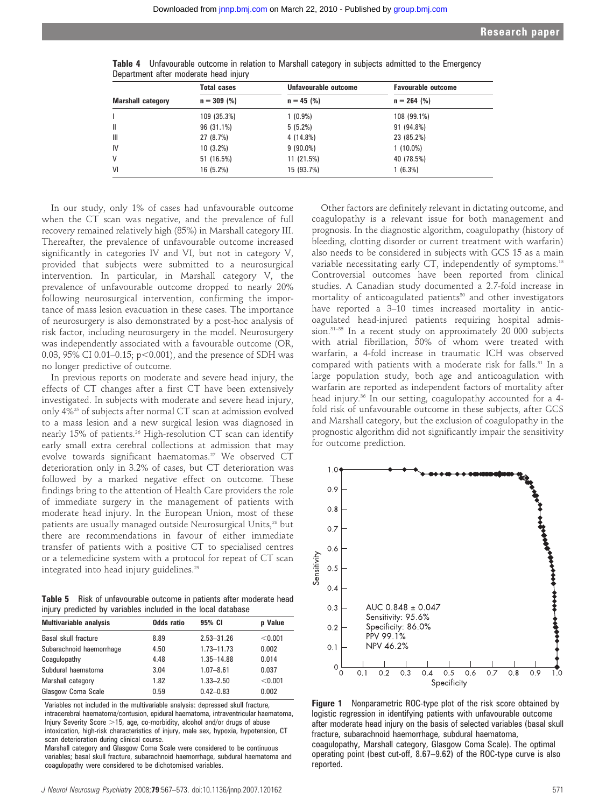|                          | <b>Total cases</b> | Unfavourable outcome | <b>Favourable outcome</b><br>$n = 264$ (%) |  |
|--------------------------|--------------------|----------------------|--------------------------------------------|--|
| <b>Marshall category</b> | $n = 309$ (%)      | $n = 45$ (%)         |                                            |  |
|                          | 109 (35.3%)        | $1(0.9\%)$           | 108 (99.1%)                                |  |
| II                       | 96 (31.1%)         | $5(5.2\%)$           | 91 (94.8%)                                 |  |
| Ш                        | 27 (8.7%)          | 4 (14.8%)            | 23 (85.2%)                                 |  |
| IV                       | $10(3.2\%)$        | $9(90.0\%)$          | $1(10.0\%)$                                |  |
| V                        | 51 (16.5%)         | 11 (21.5%)           | 40 (78.5%)                                 |  |
| VI                       | 16 (5.2%)          | 15 (93.7%)           | 1(6.3%)                                    |  |

Table 4 Unfavourable outcome in relation to Marshall category in subjects admitted to the Emergency Department after moderate head injury

In our study, only 1% of cases had unfavourable outcome when the CT scan was negative, and the prevalence of full recovery remained relatively high (85%) in Marshall category III. Thereafter, the prevalence of unfavourable outcome increased significantly in categories IV and VI, but not in category V, provided that subjects were submitted to a neurosurgical intervention. In particular, in Marshall category V, the prevalence of unfavourable outcome dropped to nearly 20% following neurosurgical intervention, confirming the importance of mass lesion evacuation in these cases. The importance of neurosurgery is also demonstrated by a post-hoc analysis of risk factor, including neurosurgery in the model. Neurosurgery was independently associated with a favourable outcome (OR, 0.03, 95% CI 0.01–0.15;  $p<0.001$ ), and the presence of SDH was no longer predictive of outcome.

In previous reports on moderate and severe head injury, the effects of CT changes after a first CT have been extensively investigated. In subjects with moderate and severe head injury, only 4%25 of subjects after normal CT scan at admission evolved to a mass lesion and a new surgical lesion was diagnosed in nearly 15% of patients.<sup>26</sup> High-resolution CT scan can identify early small extra cerebral collections at admission that may evolve towards significant haematomas.<sup>27</sup> We observed CT deterioration only in 3.2% of cases, but CT deterioration was followed by a marked negative effect on outcome. These findings bring to the attention of Health Care providers the role of immediate surgery in the management of patients with moderate head injury. In the European Union, most of these patients are usually managed outside Neurosurgical Units,<sup>28</sup> but there are recommendations in favour of either immediate transfer of patients with a positive CT to specialised centres or a telemedicine system with a protocol for repeat of CT scan integrated into head injury guidelines.<sup>29</sup>

Table 5 Risk of unfavourable outcome in patients after moderate head injury predicted by variables included in the local database

| <b>Multivariable analysis</b> | <b>Odds ratio</b> | 95% CI         | p Value |
|-------------------------------|-------------------|----------------|---------|
| Basal skull fracture          | 8.89              | $2.53 - 31.26$ | < 0.001 |
| Subarachnoid haemorrhage      | 4.50              | $1.73 - 11.73$ | 0.002   |
| Coagulopathy                  | 4.48              | 1.35-14.88     | 0.014   |
| Subdural haematoma            | 3.04              | $1.07 - 8.61$  | 0.037   |
| Marshall category             | 1.82              | $1.33 - 2.50$  | < 0.001 |
| Glasgow Coma Scale            | 0.59              | $0.42 - 0.83$  | 0.002   |
|                               |                   |                |         |

Variables not included in the multivariable analysis: depressed skull fracture, intracerebral haematoma/contusion, epidural haematoma, intraventricular haematoma, Injury Severity Score >15, age, co-morbidity, alcohol and/or drugs of abuse intoxication, high-risk characteristics of injury, male sex, hypoxia, hypotension, CT scan deterioration during clinical course.

Marshall category and Glasgow Coma Scale were considered to be continuous variables; basal skull fracture, subarachnoid haemorrhage, subdural haematoma and coagulopathy were considered to be dichotomised variables.

coagulopathy is a relevant issue for both management and prognosis. In the diagnostic algorithm, coagulopathy (history of bleeding, clotting disorder or current treatment with warfarin) also needs to be considered in subjects with GCS 15 as a main variable necessitating early CT, independently of symptoms.<sup>13</sup> Controversial outcomes have been reported from clinical studies. A Canadian study documented a 2.7-fold increase in mortality of anticoagulated patients<sup>30</sup> and other investigators have reported a 3–10 times increased mortality in anticoagulated head-injured patients requiring hospital admission.<sup>31-35</sup> In a recent study on approximately 20 000 subjects with atrial fibrillation, 50% of whom were treated with warfarin, a 4-fold increase in traumatic ICH was observed compared with patients with a moderate risk for falls.<sup>31</sup> In a large population study, both age and anticoagulation with warfarin are reported as independent factors of mortality after head injury.<sup>36</sup> In our setting, coagulopathy accounted for a 4fold risk of unfavourable outcome in these subjects, after GCS and Marshall category, but the exclusion of coagulopathy in the prognostic algorithm did not significantly impair the sensitivity for outcome prediction.

Other factors are definitely relevant in dictating outcome, and



**Figure 1** Nonparametric ROC-type plot of the risk score obtained by logistic regression in identifying patients with unfavourable outcome after moderate head injury on the basis of selected variables (basal skull fracture, subarachnoid haemorrhage, subdural haematoma, coagulopathy, Marshall category, Glasgow Coma Scale). The optimal operating point (best cut-off, 8.67–9.62) of the ROC-type curve is also reported.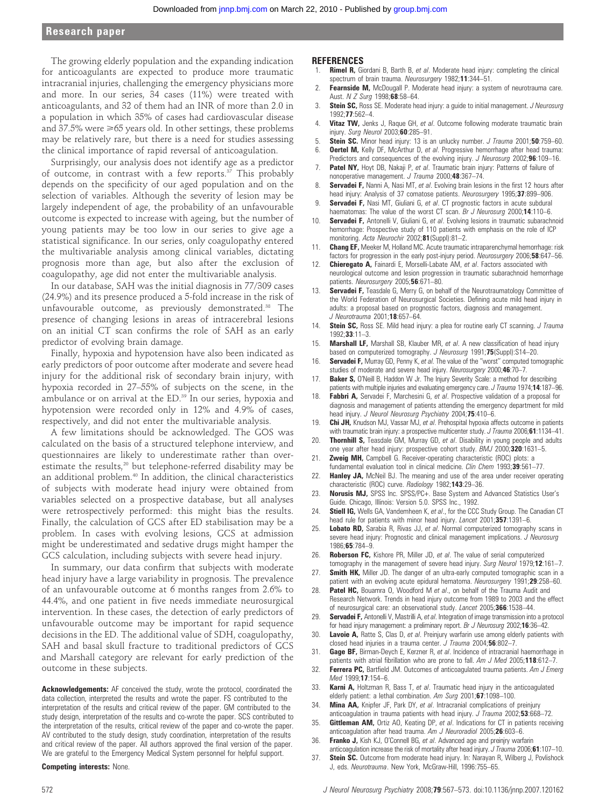#### Research paper

The growing elderly population and the expanding indication for anticoagulants are expected to produce more traumatic intracranial injuries, challenging the emergency physicians more and more. In our series, 34 cases (11%) were treated with anticoagulants, and 32 of them had an INR of more than 2.0 in a population in which 35% of cases had cardiovascular disease and 37.5% were  $\geq 65$  years old. In other settings, these problems may be relatively rare, but there is a need for studies assessing the clinical importance of rapid reversal of anticoagulation.

Surprisingly, our analysis does not identify age as a predictor of outcome, in contrast with a few reports. $37$  This probably depends on the specificity of our aged population and on the selection of variables. Although the severity of lesion may be largely independent of age, the probability of an unfavourable outcome is expected to increase with ageing, but the number of young patients may be too low in our series to give age a statistical significance. In our series, only coagulopathy entered the multivariable analysis among clinical variables, dictating prognosis more than age, but also after the exclusion of coagulopathy, age did not enter the multivariable analysis.

In our database, SAH was the initial diagnosis in 77/309 cases (24.9%) and its presence produced a 5-fold increase in the risk of unfavourable outcome, as previously demonstrated.<sup>38</sup> The presence of changing lesions in areas of intracerebral lesions on an initial CT scan confirms the role of SAH as an early predictor of evolving brain damage.

Finally, hypoxia and hypotension have also been indicated as early predictors of poor outcome after moderate and severe head injury for the additional risk of secondary brain injury, with hypoxia recorded in 27–55% of subjects on the scene, in the ambulance or on arrival at the ED.<sup>39</sup> In our series, hypoxia and hypotension were recorded only in 12% and 4.9% of cases, respectively, and did not enter the multivariable analysis.

A few limitations should be acknowledged. The GOS was calculated on the basis of a structured telephone interview, and questionnaires are likely to underestimate rather than overestimate the results,<sup>20</sup> but telephone-referred disability may be an additional problem.40 In addition, the clinical characteristics of subjects with moderate head injury were obtained from variables selected on a prospective database, but all analyses were retrospectively performed: this might bias the results. Finally, the calculation of GCS after ED stabilisation may be a problem. In cases with evolving lesions, GCS at admission might be underestimated and sedative drugs might hamper the GCS calculation, including subjects with severe head injury.

In summary, our data confirm that subjects with moderate head injury have a large variability in prognosis. The prevalence of an unfavourable outcome at 6 months ranges from 2.6% to 44.4%, and one patient in five needs immediate neurosurgical intervention. In these cases, the detection of early predictors of unfavourable outcome may be important for rapid sequence decisions in the ED. The additional value of SDH, coagulopathy, SAH and basal skull fracture to traditional predictors of GCS and Marshall category are relevant for early prediction of the outcome in these subjects.

Acknowledgements: AF conceived the study, wrote the protocol, coordinated the data collection, interpreted the results and wrote the paper. FS contributed to the interpretation of the results and critical review of the paper. GM contributed to the study design, interpretation of the results and co-wrote the paper. SCS contributed to the interpretation of the results, critical review of the paper and co-wrote the paper. AV contributed to the study design, study coordination, interpretation of the results and critical review of the paper. All authors approved the final version of the paper. We are grateful to the Emergency Medical System personnel for helpful support.

#### Competing interests: None.

- Rimel R, Giordani B, Barth B, et al. Moderate head injury: completing the clinical spectrum of brain trauma. Neurosurgery 1982;11:344–51.
- 2. **Fearnside M,** McDougall P. Moderate head injury: a system of neurotrauma care. Aust. N Z Surg 1998;68:58-64.
- 3. Stein SC, Ross SE. Moderate head injury: a guide to initial management. J Neurosurg 1992;77:562–4.
- Vitaz TW, Jenks J, Raque GH, et al. Outcome following moderate traumatic brain injury. Surg Neurol 2003;60:285–91.
- 5. Stein SC. Minor head injury: 13 is an unlucky number. J Trauma 2001;50:759-60. 6. **Oertel M,** Kelly DF, McArthur D, et al. Progressive hemorrhage after head trauma:
- Predictors and consequences of the evolving injury. J Neurosurg 2002;96:109-16. 7. Patel NY, Hoyt DB, Nakaji P, et al. Traumatic brain injury: Patterns of failure of
- nonoperative management. J Trauma 2000;48:367-74.
- Servadei F, Nanni A, Nasi MT, et al. Evolving brain lesions in the first 12 hours after head injury: Analysis of 37 comatose patients. Neurosurgery 1995;37:899-906.
- 9. Servadei F, Nasi MT, Giuliani G, et al. CT prognostic factors in acute subdural haematomas: The value of the worst CT scan. Br J Neurosurg 2000;14:110-6.
- 10. **Servadei F,** Antonelli V, Giuliani G, et al. Evolving lesions in traumatic subarachnoid hemorrhage: Prospective study of 110 patients with emphasis on the role of ICP monitoring. Acta Neurochir 2002;81(Suppl):81–2.
- 11. Chang EF, Meeker M, Holland MC. Acute traumatic intraparenchymal hemorrhage: risk factors for progression in the early post-injury period. Neurosurgery 2006;58:647–56.
- 12. Chieregato A, Fainardi E, Morselli-Labate AM, et al. Factors associated with neurological outcome and lesion progression in traumatic subarachnoid hemorrhage patients. Neurosurgery 2005;56:671–80.
- 13. **Servadei F,** Teasdale G, Merry G, on behalf of the Neurotraumatology Committee of the World Federation of Neurosurgical Societies. Defining acute mild head injury in adults: a proposal based on prognostic factors, diagnosis and management. J Neurotrauma 2001;18:657–64.
- 14. Stein SC, Ross SE. Mild head injury: a plea for routine early CT scanning. J Trauma 1992;33:11–3.
- 15. Marshall LF, Marshall SB, Klauber MR, et al. A new classification of head injury based on computerized tomography. J Neurosurg 1991;75(Suppl):S14–20.
- 16. Servadei F, Murray GD, Penny K, et al. The value of the "worst" computed tomographic studies of moderate and severe head injury. Neurosurgery 2000;46:70–7.
- Baker S, O'Neill B, Haddon W Jr. The Injury Severity Scale: a method for describing patients with multiple injuries and evaluating emergency care. J Trauma 1974;14:187-96.
- 18. Fabbri A, Servadei F, Marchesini G, et al. Prospective validation of a proposal for diagnosis and management of patients attending the emergency department for mild head injury. J Neurol Neurosurg Psychiatry 2004;75:410-6.
- 19. **Chi JH,** Knudson MJ, Vassar MJ, et al. Prehospital hypoxia affects outcome in patients with traumatic brain injury: a prospective multicenter study. J Trauma 2006;61:1134-41.
- 20. Thornhill S, Teasdale GM, Murray GD, et al. Disability in young people and adults one year after head injury: prospective cohort study. BMJ 2000;320:1631-5.
- 21. **Zweig MH,** Campbell G. Receiver-operating characteristic (ROC) plots: a fundamental evaluation tool in clinical medicine. Clin Chem 1993;39:561-77.
- 22. Hanley JA, McNeil BJ. The meaning and use of the area under receiver operating characteristic (ROC) curve. Radiology 1982;143:29–36.
- 23. Norusis MJ, SPSS Inc. SPSS/PC+. Base System and Advanced Statistics User's Guide. Chicago, Illinois: Version 5.0. SPSS Inc., 1992.
- 24. Stiell IG, Wells GA, Vandemheen K, et al., for the CCC Study Group. The Canadian CT head rule for patients with minor head injury. Lancet 2001;357:1391-6.
- 25. Lobato RD, Sarabia R, Rivas JJ, et al. Normal computerized tomography scans in severe head injury: Prognostic and clinical management implications. J Neurosurg 1986;65:784–9.
- 26. Roberson FC, Kishore PR, Miller JD, et al. The value of serial computerized tomography in the management of severe head injury. Surg Neurol 1979;12:161-7.
- Smith HK, Miller JD. The danger of an ultra-early computed tomographic scan in a patient with an evolving acute epidural hematoma. Neurosurgery 1991;29:258-60.
- 28. Patel HC, Bouamra O, Woodford M et al., on behalf of the Trauma Audit and Research Network. Trends in head injury outcome from 1989 to 2003 and the effect of neurosurgical care: an observational study. Lancet 2005;366:1538–44.
- 29. Servadei F, Antonelli V, Mastrilli A, et al. Integration of image transmission into a protocol for head injury management: a preliminary report. Br J Neurosurg 2002;16:36–42.
- 30. Lavoie A, Ratte S, Clas D, et al. Preinjury warfarin use among elderly patients with closed head injuries in a trauma center. J Trauma 2004;56:802-7.
- 31. Gage BF, Birman-Deych E, Kerzner R, et al. Incidence of intracranial haemorrhage in patients with atrial fibrillation who are prone to fall. Am J Med 2005;118:612-7.
- 32. Ferrera PC, Bartfield JM. Outcomes of anticoagulated trauma patients. Am J Emerg Med 1999;**17**:154-6.
- 33. Karni A, Holtzman R, Bass T, et al. Traumatic head injury in the anticoagulated elderly patient: a lethal combination. Am Surg 2001;67:1098-100.
- 34. Mina AA, Knipfer JF, Park DY, et al. Intracranial complications of preinjury anticoagulation in trauma patients with head injury. J Trauma 2002;53:668-72.
- 35. Gittleman AM, Ortiz AO, Keating DP, et al. Indications for CT in patients receiving anticoagulation after head trauma. Am J Neuroradiol 2005;26:603–6.
- 36. Franko J, Kish KJ, O'Connell BG, et al. Advanced age and preinjry warfarin anticoagulation increase the risk of mortality after head injury. J Trauma 2006;61:107-10.
- 37. **Stein SC.** Outcome from moderate head injury. In: Narayan R, Wilberg J, Povlishock J, eds. Neurotrauma. New York, McGraw-Hill, 1996:755–65.